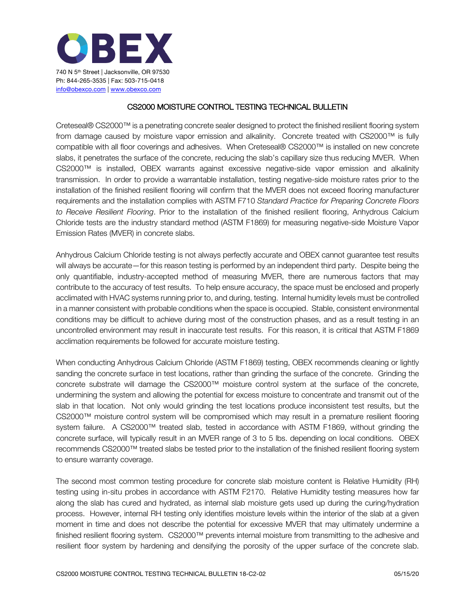

## CS2000 MOISTURE CONTROL TESTING TECHNICAL BULLETIN

Creteseal® CS2000™ is a penetrating concrete sealer designed to protect the finished resilient flooring system from damage caused by moisture vapor emission and alkalinity. Concrete treated with CS2000™ is fully compatible with all floor coverings and adhesives. When Creteseal® CS2000™ is installed on new concrete slabs, it penetrates the surface of the concrete, reducing the slab's capillary size thus reducing MVER. When CS2000™ is installed, OBEX warrants against excessive negative-side vapor emission and alkalinity transmission. In order to provide a warrantable installation, testing negative-side moisture rates prior to the installation of the finished resilient flooring will confirm that the MVER does not exceed flooring manufacturer requirements and the installation complies with ASTM F710 *Standard Practice for Preparing Concrete Floors to Receive Resilient Flooring*. Prior to the installation of the finished resilient flooring, Anhydrous Calcium Chloride tests are the industry standard method (ASTM F1869) for measuring negative-side Moisture Vapor Emission Rates (MVER) in concrete slabs.

Anhydrous Calcium Chloride testing is not always perfectly accurate and OBEX cannot guarantee test results will always be accurate—for this reason testing is performed by an independent third party. Despite being the only quantifiable, industry-accepted method of measuring MVER, there are numerous factors that may contribute to the accuracy of test results. To help ensure accuracy, the space must be enclosed and properly acclimated with HVAC systems running prior to, and during, testing. Internal humidity levels must be controlled in a manner consistent with probable conditions when the space is occupied. Stable, consistent environmental conditions may be difficult to achieve during most of the construction phases, and as a result testing in an uncontrolled environment may result in inaccurate test results. For this reason, it is critical that ASTM F1869 acclimation requirements be followed for accurate moisture testing.

When conducting Anhydrous Calcium Chloride (ASTM F1869) testing, OBEX recommends cleaning or lightly sanding the concrete surface in test locations, rather than grinding the surface of the concrete. Grinding the concrete substrate will damage the CS2000™ moisture control system at the surface of the concrete, undermining the system and allowing the potential for excess moisture to concentrate and transmit out of the slab in that location. Not only would grinding the test locations produce inconsistent test results, but the CS2000™ moisture control system will be compromised which may result in a premature resilient flooring system failure. A CS2000™ treated slab, tested in accordance with ASTM F1869, without grinding the concrete surface, will typically result in an MVER range of 3 to 5 lbs. depending on local conditions. OBEX recommends CS2000™ treated slabs be tested prior to the installation of the finished resilient flooring system to ensure warranty coverage.

The second most common testing procedure for concrete slab moisture content is Relative Humidity (RH) testing using in-situ probes in accordance with ASTM F2170. Relative Humidity testing measures how far along the slab has cured and hydrated, as internal slab moisture gets used up during the curing/hydration process. However, internal RH testing only identifies moisture levels within the interior of the slab at a given moment in time and does not describe the potential for excessive MVER that may ultimately undermine a finished resilient flooring system. CS2000™ prevents internal moisture from transmitting to the adhesive and resilient floor system by hardening and densifying the porosity of the upper surface of the concrete slab.